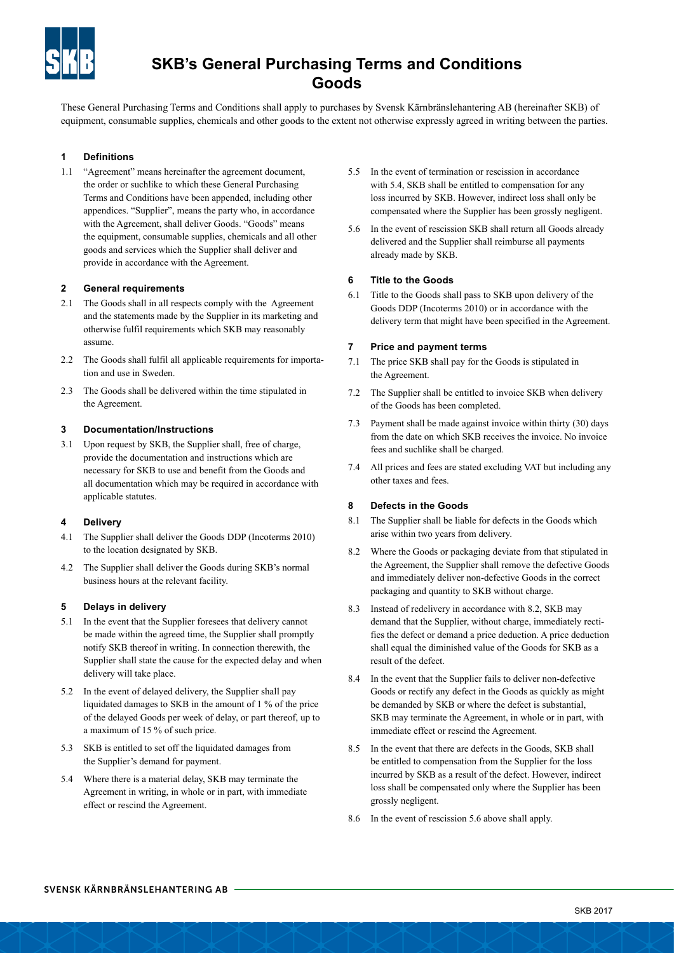

# **SKB's General Purchasing Terms and Conditions Goods**

These General Purchasing Terms and Conditions shall apply to purchases by Svensk Kärnbränslehantering AB (hereinafter SKB) of equipment, consumable supplies, chemicals and other goods to the extent not otherwise expressly agreed in writing between the parties.

## **1 Definitions**

1.1 "Agreement" means hereinafter the agreement document, the order or suchlike to which these General Purchasing Terms and Conditions have been appended, including other appendices. "Supplier", means the party who, in accordance with the Agreement, shall deliver Goods. "Goods" means the equipment, consumable supplies, chemicals and all other goods and services which the Supplier shall deliver and provide in accordance with the Agreement.

#### **2 General requirements**

- 2.1 The Goods shall in all respects comply with the Agreement and the statements made by the Supplier in its marketing and otherwise fulfil requirements which SKB may reasonably assume.
- 2.2 The Goods shall fulfil all applicable requirements for importation and use in Sweden.
- 2.3 The Goods shall be delivered within the time stipulated in the Agreement.

#### **3 Documentation/Instructions**

3.1 Upon request by SKB, the Supplier shall, free of charge, provide the documentation and instructions which are necessary for SKB to use and benefit from the Goods and all documentation which may be required in accordance with applicable statutes.

#### **4 Delivery**

- 4.1 The Supplier shall deliver the Goods DDP (Incoterms 2010) to the location designated by SKB.
- 4.2 The Supplier shall deliver the Goods during SKB's normal business hours at the relevant facility.

#### **5 Delays in delivery**

- 5.1 In the event that the Supplier foresees that delivery cannot be made within the agreed time, the Supplier shall promptly notify SKB thereof in writing. In connection therewith, the Supplier shall state the cause for the expected delay and when delivery will take place.
- 5.2 In the event of delayed delivery, the Supplier shall pay liquidated damages to SKB in the amount of 1 % of the price of the delayed Goods per week of delay, or part thereof, up to a maximum of 15 % of such price.
- 5.3 SKB is entitled to set off the liquidated damages from the Supplier's demand for payment.
- 5.4 Where there is a material delay, SKB may terminate the Agreement in writing, in whole or in part, with immediate effect or rescind the Agreement.
- 5.5 In the event of termination or rescission in accordance with 5.4, SKB shall be entitled to compensation for any loss incurred by SKB. However, indirect loss shall only be compensated where the Supplier has been grossly negligent.
- 5.6 In the event of rescission SKB shall return all Goods already delivered and the Supplier shall reimburse all payments already made by SKB.

#### **6 Title to the Goods**

6.1 Title to the Goods shall pass to SKB upon delivery of the Goods DDP (Incoterms 2010) or in accordance with the delivery term that might have been specified in the Agreement.

#### **7 Price and payment terms**

- 7.1 The price SKB shall pay for the Goods is stipulated in the Agreement.
- 7.2 The Supplier shall be entitled to invoice SKB when delivery of the Goods has been completed.
- 7.3 Payment shall be made against invoice within thirty (30) days from the date on which SKB receives the invoice. No invoice fees and suchlike shall be charged.
- 7.4 All prices and fees are stated excluding VAT but including any other taxes and fees.

#### **8 Defects in the Goods**

- 8.1 The Supplier shall be liable for defects in the Goods which arise within two years from delivery.
- 8.2 Where the Goods or packaging deviate from that stipulated in the Agreement, the Supplier shall remove the defective Goods and immediately deliver non-defective Goods in the correct packaging and quantity to SKB without charge.
- 8.3 Instead of redelivery in accordance with 8.2, SKB may demand that the Supplier, without charge, immediately rectifies the defect or demand a price deduction. A price deduction shall equal the diminished value of the Goods for SKB as a result of the defect.
- 8.4 In the event that the Supplier fails to deliver non-defective Goods or rectify any defect in the Goods as quickly as might be demanded by SKB or where the defect is substantial, SKB may terminate the Agreement, in whole or in part, with immediate effect or rescind the Agreement.
- 8.5 In the event that there are defects in the Goods, SKB shall be entitled to compensation from the Supplier for the loss incurred by SKB as a result of the defect. However, indirect loss shall be compensated only where the Supplier has been grossly negligent.
- 8.6 In the event of rescission 5.6 above shall apply.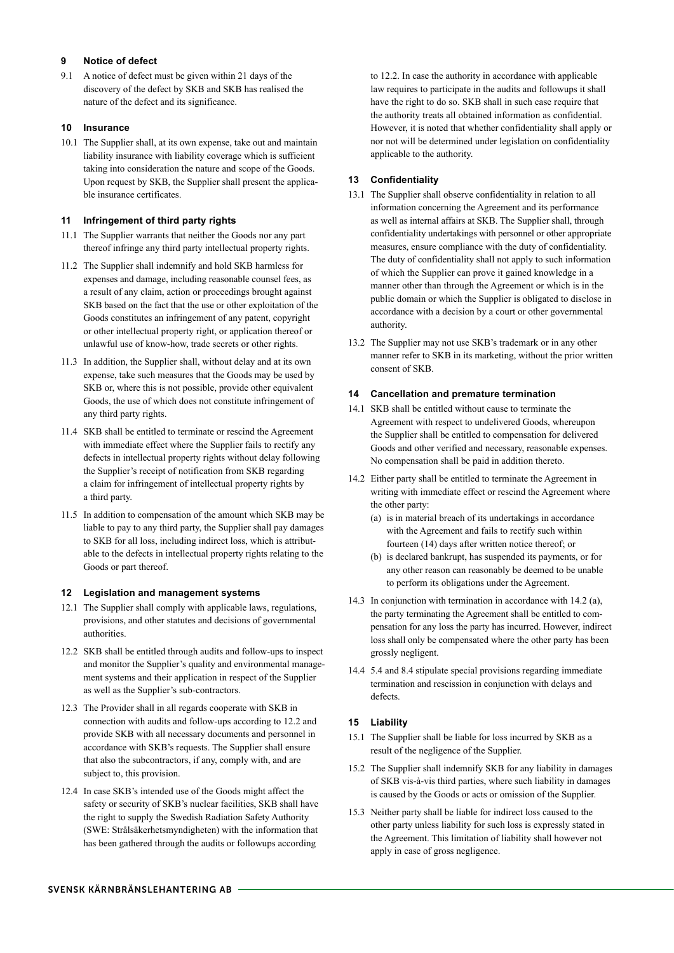## **9 Notice of defect**

9.1 A notice of defect must be given within 21 days of the discovery of the defect by SKB and SKB has realised the nature of the defect and its significance.

## **10 Insurance**

10.1 The Supplier shall, at its own expense, take out and maintain liability insurance with liability coverage which is sufficient taking into consideration the nature and scope of the Goods. Upon request by SKB, the Supplier shall present the applicable insurance certificates.

# **11 Infringement of third party rights**

- 11.1 The Supplier warrants that neither the Goods nor any part thereof infringe any third party intellectual property rights.
- 11.2 The Supplier shall indemnify and hold SKB harmless for expenses and damage, including reasonable counsel fees, as a result of any claim, action or proceedings brought against SKB based on the fact that the use or other exploitation of the Goods constitutes an infringement of any patent, copyright or other intellectual property right, or application thereof or unlawful use of know-how, trade secrets or other rights.
- 11.3 In addition, the Supplier shall, without delay and at its own expense, take such measures that the Goods may be used by SKB or, where this is not possible, provide other equivalent Goods, the use of which does not constitute infringement of any third party rights.
- 11.4 SKB shall be entitled to terminate or rescind the Agreement with immediate effect where the Supplier fails to rectify any defects in intellectual property rights without delay following the Supplier's receipt of notification from SKB regarding a claim for infringement of intellectual property rights by a third party.
- 11.5 In addition to compensation of the amount which SKB may be liable to pay to any third party, the Supplier shall pay damages to SKB for all loss, including indirect loss, which is attributable to the defects in intellectual property rights relating to the Goods or part thereof.

#### **12 Legislation and management systems**

- 12.1 The Supplier shall comply with applicable laws, regulations, provisions, and other statutes and decisions of governmental authorities.
- 12.2 SKB shall be entitled through audits and follow-ups to inspect and monitor the Supplier's quality and environmental management systems and their application in respect of the Supplier as well as the Supplier's sub-contractors.
- 12.3 The Provider shall in all regards cooperate with SKB in connection with audits and follow-ups according to 12.2 and provide SKB with all necessary documents and personnel in accordance with SKB's requests. The Supplier shall ensure that also the subcontractors, if any, comply with, and are subject to, this provision.
- 12.4 In case SKB's intended use of the Goods might affect the safety or security of SKB's nuclear facilities. SKB shall have the right to supply the Swedish Radiation Safety Authority (SWE: Strålsäkerhetsmyndigheten) with the information that has been gathered through the audits or followups according

to 12.2. In case the authority in accordance with applicable law requires to participate in the audits and followups it shall have the right to do so. SKB shall in such case require that the authority treats all obtained information as confidential. However, it is noted that whether confidentiality shall apply or nor not will be determined under legislation on confidentiality applicable to the authority.

## **13 Confidentiality**

- 13.1 The Supplier shall observe confidentiality in relation to all information concerning the Agreement and its performance as well as internal affairs at SKB. The Supplier shall, through confidentiality undertakings with personnel or other appropriate measures, ensure compliance with the duty of confidentiality. The duty of confidentiality shall not apply to such information of which the Supplier can prove it gained knowledge in a manner other than through the Agreement or which is in the public domain or which the Supplier is obligated to disclose in accordance with a decision by a court or other governmental authority.
- 13.2 The Supplier may not use SKB's trademark or in any other manner refer to SKB in its marketing, without the prior written consent of SKB.

## **14 Cancellation and premature termination**

- 14.1 SKB shall be entitled without cause to terminate the Agreement with respect to undelivered Goods, whereupon the Supplier shall be entitled to compensation for delivered Goods and other verified and necessary, reasonable expenses. No compensation shall be paid in addition thereto.
- 14.2 Either party shall be entitled to terminate the Agreement in writing with immediate effect or rescind the Agreement where the other party:
	- (a) is in material breach of its undertakings in accordance with the Agreement and fails to rectify such within fourteen (14) days after written notice thereof; or
	- (b) is declared bankrupt, has suspended its payments, or for any other reason can reasonably be deemed to be unable to perform its obligations under the Agreement.
- 14.3 In conjunction with termination in accordance with 14.2 (a), the party terminating the Agreement shall be entitled to compensation for any loss the party has incurred. However, indirect loss shall only be compensated where the other party has been grossly negligent.
- 14.4 5.4 and 8.4 stipulate special provisions regarding immediate termination and rescission in conjunction with delays and defects.

# **15 Liability**

- 15.1 The Supplier shall be liable for loss incurred by SKB as a result of the negligence of the Supplier.
- 15.2 The Supplier shall indemnify SKB for any liability in damages of SKB vis-à-vis third parties, where such liability in damages is caused by the Goods or acts or omission of the Supplier.
- 15.3 Neither party shall be liable for indirect loss caused to the other party unless liability for such loss is expressly stated in the Agreement. This limitation of liability shall however not apply in case of gross negligence.